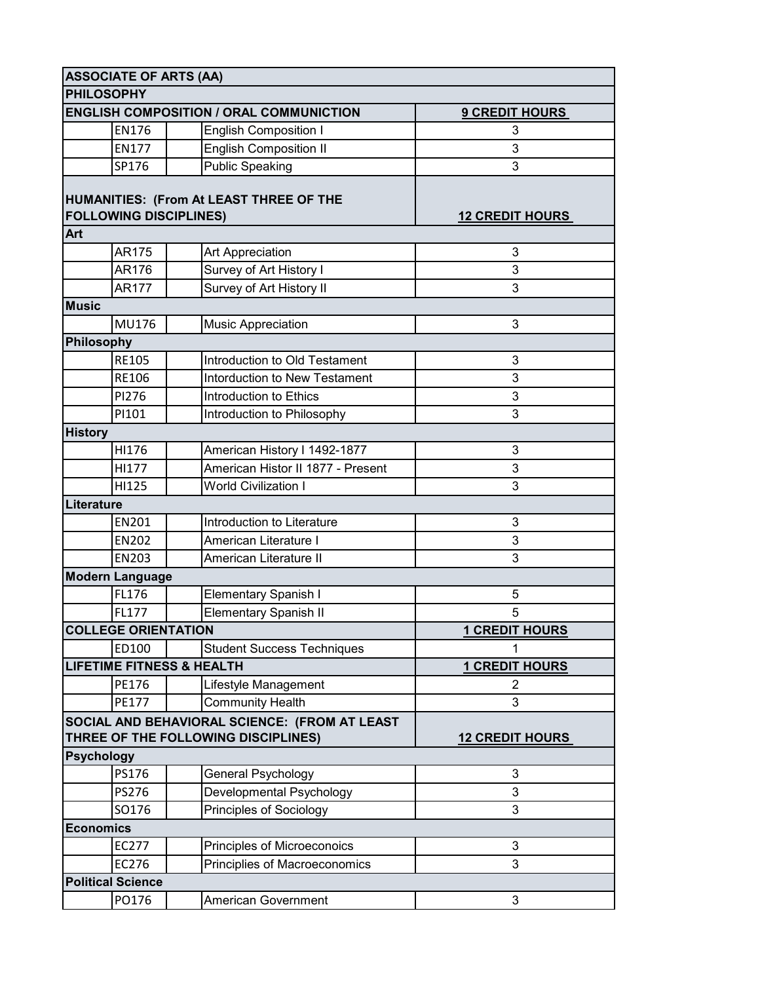|                                                                          | <b>ASSOCIATE OF ARTS (AA)</b>        |                                                |                        |
|--------------------------------------------------------------------------|--------------------------------------|------------------------------------------------|------------------------|
|                                                                          | <b>PHILOSOPHY</b>                    |                                                |                        |
|                                                                          |                                      | <b>ENGLISH COMPOSITION / ORAL COMMUNICTION</b> | <b>9 CREDIT HOURS</b>  |
|                                                                          | <b>EN176</b>                         | <b>English Composition I</b>                   | 3                      |
|                                                                          | <b>EN177</b>                         | <b>English Composition II</b>                  | 3                      |
|                                                                          | SP176                                | <b>Public Speaking</b>                         | 3                      |
|                                                                          |                                      |                                                |                        |
| HUMANITIES: (From At LEAST THREE OF THE<br><b>FOLLOWING DISCIPLINES)</b> |                                      |                                                |                        |
|                                                                          |                                      |                                                | <b>12 CREDIT HOURS</b> |
| <b>Art</b>                                                               | AR175                                |                                                | 3                      |
|                                                                          | AR176                                | Art Appreciation                               |                        |
|                                                                          |                                      | Survey of Art History I                        | 3                      |
|                                                                          | <b>AR177</b>                         | Survey of Art History II                       | 3                      |
| <b>Music</b>                                                             |                                      |                                                |                        |
|                                                                          | MU176                                | Music Appreciation                             | 3                      |
|                                                                          | Philosophy                           |                                                |                        |
|                                                                          | <b>RE105</b>                         | Introduction to Old Testament                  | 3                      |
|                                                                          | RE106                                | <b>Intorduction to New Testament</b>           | 3                      |
|                                                                          | PI276                                | Introduction to Ethics                         | 3                      |
|                                                                          | PI101                                | Introduction to Philosophy                     | 3                      |
| <b>History</b>                                                           |                                      |                                                |                        |
|                                                                          | HI176                                | American History I 1492-1877                   | 3                      |
|                                                                          | HI177                                | American Histor II 1877 - Present              | 3                      |
|                                                                          | HI125                                | <b>World Civilization I</b>                    | 3                      |
|                                                                          | Literature                           |                                                |                        |
|                                                                          | EN201                                | Introduction to Literature                     | 3                      |
|                                                                          | <b>EN202</b>                         | American Literature I                          | 3                      |
|                                                                          | EN203                                | American Literature II                         | 3                      |
|                                                                          | <b>Modern Language</b>               |                                                |                        |
|                                                                          | FL176                                | Elementary Spanish I                           | 5                      |
|                                                                          | FL177                                | <b>Elementary Spanish II</b>                   | 5                      |
|                                                                          | <b>COLLEGE ORIENTATION</b>           |                                                | <b>1 CREDIT HOURS</b>  |
|                                                                          | ED100                                | <b>Student Success Techniques</b>              |                        |
|                                                                          | <b>LIFETIME FITNESS &amp; HEALTH</b> |                                                | <b>1 CREDIT HOURS</b>  |
|                                                                          | PE176                                | Lifestyle Management                           | $\overline{2}$         |
|                                                                          | PE177                                | <b>Community Health</b>                        | 3                      |
|                                                                          |                                      | SOCIAL AND BEHAVIORAL SCIENCE: (FROM AT LEAST  |                        |
|                                                                          |                                      | THREE OF THE FOLLOWING DISCIPLINES)            | <b>12 CREDIT HOURS</b> |
|                                                                          | <b>Psychology</b>                    |                                                |                        |
|                                                                          | PS176                                | General Psychology                             | 3                      |
|                                                                          | PS276                                | Developmental Psychology                       | 3                      |
|                                                                          | SO176                                | Principles of Sociology                        | 3                      |
|                                                                          | <b>Economics</b>                     |                                                |                        |
|                                                                          | EC277                                | Principles of Microeconoics                    | 3                      |
|                                                                          | EC276                                | Principlies of Macroeconomics                  | 3                      |
|                                                                          | <b>Political Science</b>             |                                                |                        |
|                                                                          | PO176                                | American Government                            | 3                      |
|                                                                          |                                      |                                                |                        |